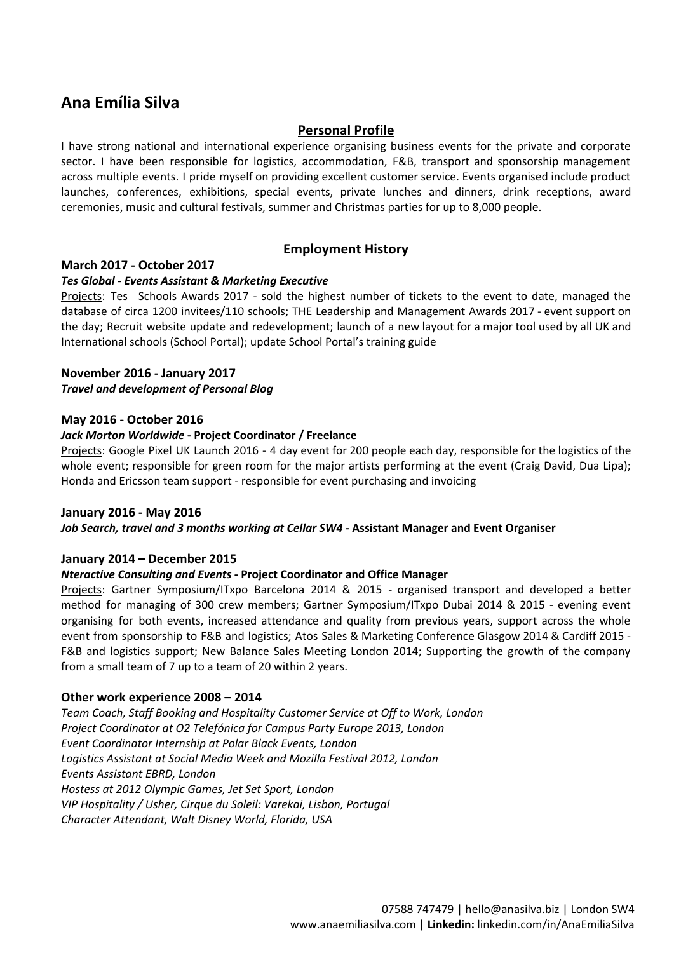# **Ana Emília Silva**

## **Personal Profile**

I have strong national and international experience organising business events for the private and corporate sector. I have been responsible for logistics, accommodation, F&B, transport and sponsorship management across multiple events. I pride myself on providing excellent customer service. Events organised include product launches, conferences, exhibitions, special events, private lunches and dinners, drink receptions, award ceremonies, music and cultural festivals, summer and Christmas parties for up to 8,000 people.

## **Employment History**

## **March 2017 ‐ October 2017**

#### *Tes Global ‐ Events Assistant & Marketing Executive*

Projects: Tes Schools Awards 2017 - sold the highest number of tickets to the event to date, managed the database of circa 1200 invitees/110 schools; THE Leadership and Management Awards 2017 ‐ event support on the day; Recruit website update and redevelopment; launch of a new layout for a major tool used by all UK and International schools (School Portal); update School Portal's training guide

#### **November 2016 ‐ January 2017**

*Travel and development of Personal Blog*

#### **May 2016 ‐ October 2016**

#### *Jack Morton Worldwide* **‐ Project Coordinator / Freelance**

Projects: Google Pixel UK Launch 2016 - 4 day event for 200 people each day, responsible for the logistics of the whole event; responsible for green room for the major artists performing at the event (Craig David, Dua Lipa); Honda and Ericsson team support ‐ responsible for event purchasing and invoicing

#### **January 2016 ‐ May 2016**

*Job Search, travel and 3 months working at Cellar SW4* **‐ Assistant Manager and Event Organiser**

## **January 2014 – December 2015**

#### *Nteractive Consulting and Events* **‐ Project Coordinator and Office Manager**

Projects: Gartner Symposium/ITxpo Barcelona 2014 & 2015 ‐ organised transport and developed a better method for managing of 300 crew members; Gartner Symposium/ITxpo Dubai 2014 & 2015 ‐ evening event organising for both events, increased attendance and quality from previous years, support across the whole event from sponsorship to F&B and logistics; Atos Sales & Marketing Conference Glasgow 2014 & Cardiff 2015 ‐ F&B and logistics support; New Balance Sales Meeting London 2014; Supporting the growth of the company from a small team of 7 up to a team of 20 within 2 years.

## **Other work experience 2008 – 2014**

*Team Coach, Staff Booking and Hospitality Customer Service at Off to Work, London Project Coordinator at O2 Telefónica for Campus Party Europe 2013, London Event Coordinator Internship at Polar Black Events, London Logistics Assistant at Social Media Week and Mozilla Festival 2012, London Events Assistant EBRD, London Hostess at 2012 Olympic Games, Jet Set Sport, London VIP Hospitality / Usher, Cirque du Soleil: Varekai, Lisbon, Portugal Character Attendant, Walt Disney World, Florida, USA*